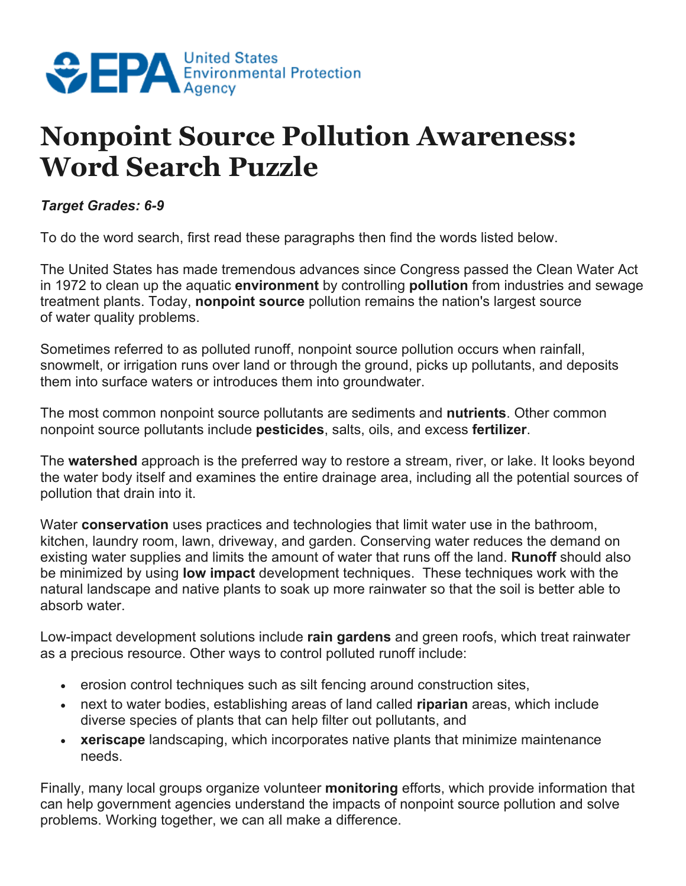

## **Nonpoint Source Pollution Awareness: Word Search Puzzle**

*Target Grades: 6-9*

To do the word search, first read these paragraphs then find the words listed below.

The United States has made tremendous advances since Congress passed the Clean Water Act in 1972 to clean up the aquatic **environment** by controlling **pollution** from industries and sewage treatment plants. Today, **nonpoint source** pollution remains the nation's largest source of water quality problems.

Sometimes referred to as polluted runoff, nonpoint source pollution occurs when rainfall, snowmelt, or irrigation runs over land or through the ground, picks up pollutants, and deposits them into surface waters or introduces them into groundwater.

The most common nonpoint source pollutants are sediments and **nutrients**. Other common nonpoint source pollutants include **pesticides**, salts, oils, and excess **fertilizer**.

The **watershed** approach is the preferred way to restore a stream, river, or lake. It looks beyond the water body itself and examines the entire drainage area, including all the potential sources of pollution that drain into it.

Water **conservation** uses practices and technologies that limit water use in the bathroom, kitchen, laundry room, lawn, driveway, and garden. Conserving water reduces the demand on existing water supplies and limits the amount of water that runs off the land. **Runoff** should also be minimized by using **low impact** development techniques. These techniques work with the natural landscape and native plants to soak up more rainwater so that the soil is better able to absorb water.

Low-impact development solutions include **rain gardens** and green roofs, which treat rainwater as a precious resource. Other ways to control polluted runoff include:

- erosion control techniques such as silt fencing around construction sites,
- next to water bodies, establishing areas of land called **riparian** areas, which include diverse species of plants that can help filter out pollutants, and
- **xeriscape** landscaping, which incorporates native plants that minimize maintenance needs.

Finally, many local groups organize volunteer **monitoring** efforts, which provide information that can help government agencies understand the impacts of nonpoint source pollution and solve problems. Working together, we can all make a difference.